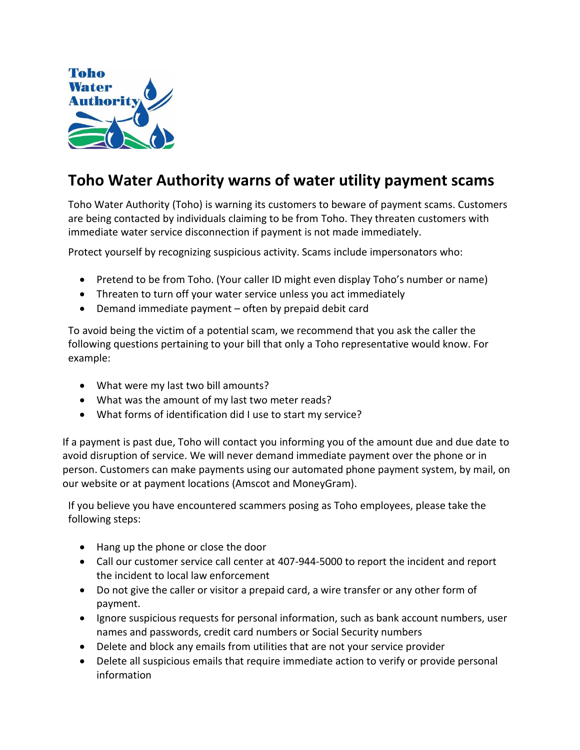

## **Toho Water Authority warns of water utility payment scams**

Toho Water Authority (Toho) is warning its customers to beware of payment scams. Customers are being contacted by individuals claiming to be from Toho. They threaten customers with immediate water service disconnection if payment is not made immediately.

Protect yourself by recognizing suspicious activity. Scams include impersonators who:

- Pretend to be from Toho. (Your caller ID might even display Toho's number or name)
- Threaten to turn off your water service unless you act immediately
- Demand immediate payment often by prepaid debit card

To avoid being the victim of a potential scam, we recommend that you ask the caller the following questions pertaining to your bill that only a Toho representative would know. For example:

- What were my last two bill amounts?
- What was the amount of my last two meter reads?
- What forms of identification did I use to start my service?

If a payment is past due, Toho will contact you informing you of the amount due and due date to avoid disruption of service. We will never demand immediate payment over the phone or in person. Customers can make payments using our automated phone payment system, by mail, on our website or at payment locations (Amscot and MoneyGram).

If you believe you have encountered scammers posing as Toho employees, please take the following steps:

- Hang up the phone or close the door
- Call our customer service call center at 407-944-5000 to report the incident and report the incident to local law enforcement
- Do not give the caller or visitor a prepaid card, a wire transfer or any other form of payment.
- Ignore suspicious requests for personal information, such as bank account numbers, user names and passwords, credit card numbers or Social Security numbers
- Delete and block any emails from utilities that are not your service provider
- Delete all suspicious emails that require immediate action to verify or provide personal information